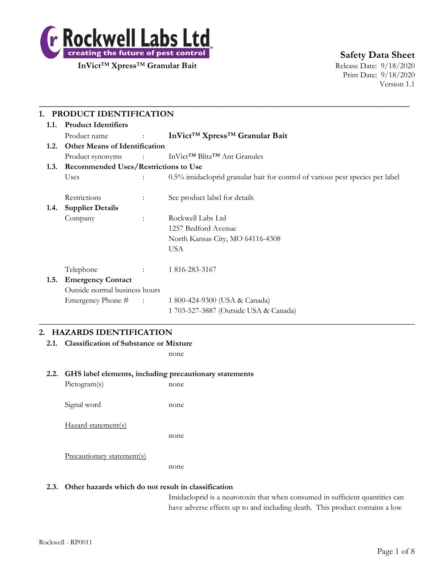

**Safety Data Sheet**

Print Date: 9/18/2020 Version 1.1

| 1.1. | <b>Product Identifiers</b>                |                                                      |                                                                               |  |  |
|------|-------------------------------------------|------------------------------------------------------|-------------------------------------------------------------------------------|--|--|
|      | Product name                              | $\sim 10^{11}$ and $\sim 10^{11}$ and $\sim 10^{11}$ | InVict <sup>™</sup> Xpress <sup>™</sup> Granular Bait                         |  |  |
| 1.2. | <b>Other Means of Identification</b>      |                                                      |                                                                               |  |  |
|      | Product synonyms                          |                                                      | : $InVict^{TM} Blitz^{TM}$ Ant Granules                                       |  |  |
|      | 1.3. Recommended Uses/Restrictions to Use |                                                      |                                                                               |  |  |
|      | Uses                                      |                                                      | 0.5% imidacloprid granular bait for control of various pest species per label |  |  |
|      | Restrictions                              | $\ddot{\phantom{a}}$                                 | See product label for details                                                 |  |  |
| 1.4. | <b>Supplier Details</b>                   |                                                      |                                                                               |  |  |
|      | Company                                   | $\mathbb{R}^{\mathbb{Z}}$                            | Rockwell Labs Ltd                                                             |  |  |
|      |                                           |                                                      | 1257 Bedford Avenue                                                           |  |  |
|      |                                           |                                                      | North Kansas City, MO 64116-4308                                              |  |  |
|      |                                           |                                                      | <b>USA</b>                                                                    |  |  |
|      | Telephone                                 | $\mathcal{L} = \{1, 2, \ldots, n\}$                  | 1 816-283-3167                                                                |  |  |
| 1.5. | <b>Emergency Contact</b>                  |                                                      |                                                                               |  |  |
|      | Outside normal business hours             |                                                      |                                                                               |  |  |
|      | Emergency Phone # :                       |                                                      | 1 800-424-9300 (USA & Canada)                                                 |  |  |
|      |                                           |                                                      | 1 703-527-3887 (Outside USA & Canada)                                         |  |  |

# **2. HAZARDS IDENTIFICATION**

**2.1. Classification of Substance or Mixture**

none

#### **2.2. GHS label elements, including precautionary statements**

Pictogram(s) none Signal word none Hazard statement(s) none Precautionary statement(s) none

#### **2.3. Other hazards which do not result in classification**

Imidacloprid is a neurotoxin that when consumed in sufficient quantities can have adverse effects up to and including death. This product contains a low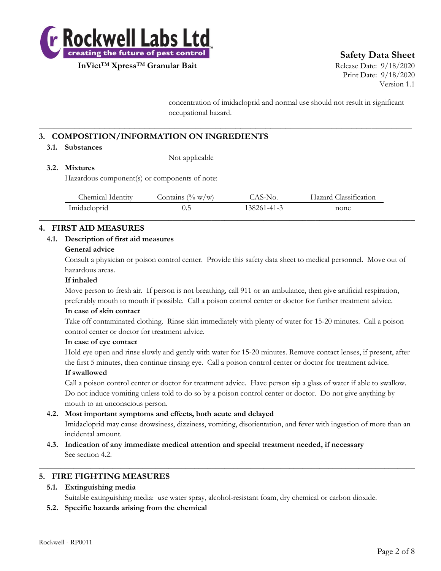

**Safety Data Sheet**

**InVict**™ **Xpress**™ **Granular Bait** Release Date: 9/18/2020 Print Date: 9/18/2020 Version 1.1

> concentration of imidacloprid and normal use should not result in significant occupational hazard.

# **3. COMPOSITION/INFORMATION ON INGREDIENTS**

#### **3.1. Substances**

Not applicable

## **3.2. Mixtures**

Hazardous component(s) or components of note:

| Chemical Identity | $(\% w/w)$<br>Jontains | .AS-No.     | Classification<br>-lazard ( |
|-------------------|------------------------|-------------|-----------------------------|
| Imidacloprid      | ن ول                   | 138261-41-3 | none                        |
|                   |                        |             |                             |

**\_\_\_\_\_\_\_\_\_\_\_\_\_\_\_\_\_\_\_\_\_\_\_\_\_\_\_\_\_\_\_\_\_\_\_\_\_\_\_\_\_\_\_\_\_\_\_\_\_\_\_\_\_\_\_\_\_\_\_\_\_\_\_\_\_\_\_\_\_\_\_\_\_\_**

# **4. FIRST AID MEASURES**

#### **4.1. Description of first aid measures**

#### **General advice**

Consult a physician or poison control center. Provide this safety data sheet to medical personnel. Move out of hazardous areas.

#### **If inhaled**

Move person to fresh air. If person is not breathing, call 911 or an ambulance, then give artificial respiration, preferably mouth to mouth if possible. Call a poison control center or doctor for further treatment advice.

#### **In case of skin contact**

Take off contaminated clothing. Rinse skin immediately with plenty of water for 15-20 minutes. Call a poison control center or doctor for treatment advice.

#### **In case of eye contact**

Hold eye open and rinse slowly and gently with water for 15-20 minutes. Remove contact lenses, if present, after the first 5 minutes, then continue rinsing eye. Call a poison control center or doctor for treatment advice.

#### **If swallowed**

Call a poison control center or doctor for treatment advice. Have person sip a glass of water if able to swallow. Do not induce vomiting unless told to do so by a poison control center or doctor. Do not give anything by mouth to an unconscious person.

#### **4.2. Most important symptoms and effects, both acute and delayed**

Imidacloprid may cause drowsiness, dizziness, vomiting, disorientation, and fever with ingestion of more than an incidental amount.

**4.3. Indication of any immediate medical attention and special treatment needed, if necessary** See section 4.2.

#### **5. FIRE FIGHTING MEASURES**

#### **5.1. Extinguishing media**

Suitable extinguishing media: use water spray, alcohol-resistant foam, dry chemical or carbon dioxide.

 $\_$  , and the set of the set of the set of the set of the set of the set of the set of the set of the set of the set of the set of the set of the set of the set of the set of the set of the set of the set of the set of th

#### **5.2. Specific hazards arising from the chemical**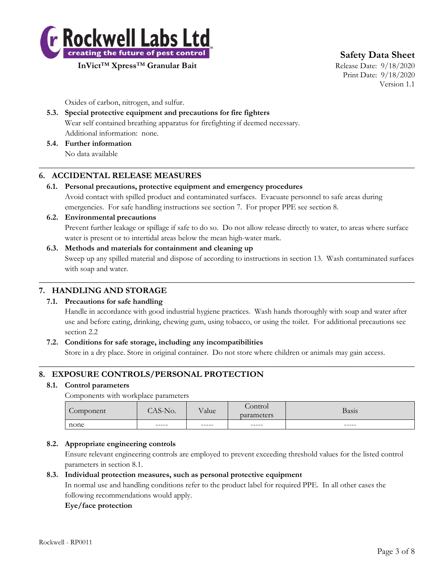

**Safety Data Sheet**

**InVict**™ **Xpress**™ **Granular Bait** Release Date: 9/18/2020

Print Date: 9/18/2020 Version 1.1

Oxides of carbon, nitrogen, and sulfur.

# **5.3. Special protective equipment and precautions for fire fighters** Wear self contained breathing apparatus for firefighting if deemed necessary. Additional information: none.

**5.4. Further information** No data available

# **6. ACCIDENTAL RELEASE MEASURES**

## **6.1. Personal precautions, protective equipment and emergency procedures**

Avoid contact with spilled product and contaminated surfaces. Evacuate personnel to safe areas during emergencies. For safe handling instructions see section 7. For proper PPE see section 8.

 $\_$  , and the set of the set of the set of the set of the set of the set of the set of the set of the set of the set of the set of the set of the set of the set of the set of the set of the set of the set of the set of th

# **6.2. Environmental precautions** Prevent further leakage or spillage if safe to do so. Do not allow release directly to water, to areas where surface water is present or to intertidal areas below the mean high-water mark.

## **6.3. Methods and materials for containment and cleaning up** Sweep up any spilled material and dispose of according to instructions in section 13. Wash contaminated surfaces with soap and water.

 $\_$  , and the set of the set of the set of the set of the set of the set of the set of the set of the set of the set of the set of the set of the set of the set of the set of the set of the set of the set of the set of th

# **7. HANDLING AND STORAGE**

# **7.1. Precautions for safe handling**

Handle in accordance with good industrial hygiene practices. Wash hands thoroughly with soap and water after use and before eating, drinking, chewing gum, using tobacco, or using the toilet. For additional precautions see section 2.2

# **7.2. Conditions for safe storage, including any incompatibilities**

Store in a dry place. Store in original container. Do not store where children or animals may gain access.  $\_$  , and the set of the set of the set of the set of the set of the set of the set of the set of the set of the set of the set of the set of the set of the set of the set of the set of the set of the set of the set of th

# **8. EXPOSURE CONTROLS/PERSONAL PROTECTION**

#### **8.1. Control parameters**

Components with workplace parameters

| $\sqrt{2}$<br>Component | $\Lambda$ $\Omega$<br>No.<br>72-T | T<br>v alue | Control<br>parameters | <b>Basis</b> |
|-------------------------|-----------------------------------|-------------|-----------------------|--------------|
| none                    | ------                            | $------$    | ------                | ------       |
|                         |                                   |             |                       |              |

# **8.2. Appropriate engineering controls**

Ensure relevant engineering controls are employed to prevent exceeding threshold values for the listed control parameters in section 8.1.

#### **8.3. Individual protection measures, such as personal protective equipment**

In normal use and handling conditions refer to the product label for required PPE. In all other cases the following recommendations would apply.

#### **Eye/face protection**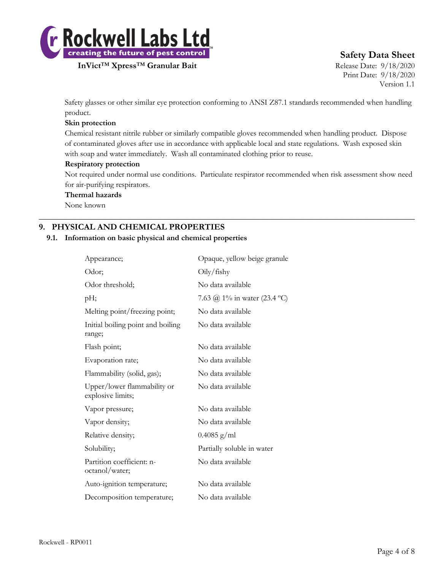

# **Safety Data Sheet**

Print Date: 9/18/2020 Version 1.1

Safety glasses or other similar eye protection conforming to ANSI Z87.1 standards recommended when handling product.

### **Skin protection**

Chemical resistant nitrile rubber or similarly compatible gloves recommended when handling product. Dispose of contaminated gloves after use in accordance with applicable local and state regulations. Wash exposed skin with soap and water immediately. Wash all contaminated clothing prior to reuse.

#### **Respiratory protection**

Not required under normal use conditions. Particulate respirator recommended when risk assessment show need for air-purifying respirators.

 $\_$  , and the set of the set of the set of the set of the set of the set of the set of the set of the set of the set of the set of the set of the set of the set of the set of the set of the set of the set of the set of th

#### **Thermal hazards**

None known

# **9. PHYSICAL AND CHEMICAL PROPERTIES**

#### **9.1. Information on basic physical and chemical properties**

| Appearance;                                      | Opaque, yellow beige granule |
|--------------------------------------------------|------------------------------|
| Odor;                                            | Oily/fishy                   |
| Odor threshold;                                  | No data available            |
| pH;                                              | 7.63 @ 1% in water (23.4 °C) |
| Melting point/freezing point;                    | No data available            |
| Initial boiling point and boiling<br>range;      | No data available            |
| Flash point;                                     | No data available            |
| Evaporation rate;                                | No data available            |
| Flammability (solid, gas);                       | No data available            |
| Upper/lower flammability or<br>explosive limits; | No data available            |
| Vapor pressure;                                  | No data available            |
| Vapor density;                                   | No data available            |
| Relative density;                                | $0.4085$ g/ml                |
| Solubility;                                      | Partially soluble in water   |
| Partition coefficient: n-<br>octanol/water;      | No data available            |
| Auto-ignition temperature;                       | No data available            |
| Decomposition temperature;                       | No data available            |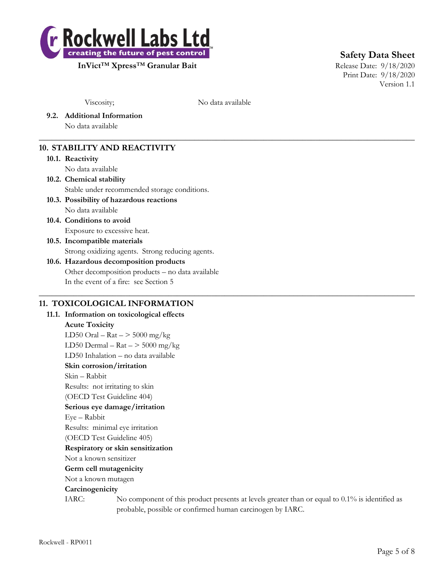

**Safety Data Sheet**

Print Date: 9/18/2020 Version 1.1

Viscosity; No data available

 $\_$  , and the set of the set of the set of the set of the set of the set of the set of the set of the set of the set of the set of the set of the set of the set of the set of the set of the set of the set of the set of th

 $\_$  , and the set of the set of the set of the set of the set of the set of the set of the set of the set of the set of the set of the set of the set of the set of the set of the set of the set of the set of the set of th

**9.2. Additional Information**

No data available

# **10. STABILITY AND REACTIVITY**

#### **10.1. Reactivity**

No data available

# **10.2. Chemical stability**

Stable under recommended storage conditions.

# **10.3. Possibility of hazardous reactions**

No data available

**10.4. Conditions to avoid** Exposure to excessive heat.

# **10.5. Incompatible materials** Strong oxidizing agents. Strong reducing agents.

## **10.6. Hazardous decomposition products** Other decomposition products – no data available In the event of a fire: see Section 5

# **11. TOXICOLOGICAL INFORMATION**

**11.1. Information on toxicological effects Acute Toxicity** LD50 Oral –  $\text{Rat}$  –  $>$  5000 mg/kg LD50 Dermal –  $\text{Rat}$  –  $>$  5000 mg/kg LD50 Inhalation – no data available **Skin corrosion/irritation** Skin – Rabbit Results: not irritating to skin (OECD Test Guideline 404) **Serious eye damage/irritation** Eye – Rabbit Results: minimal eye irritation (OECD Test Guideline 405) **Respiratory or skin sensitization** Not a known sensitizer **Germ cell mutagenicity** Not a known mutagen **Carcinogenicity** IARC: No component of this product presents at levels greater than or equal to 0.1% is identified as probable, possible or confirmed human carcinogen by IARC.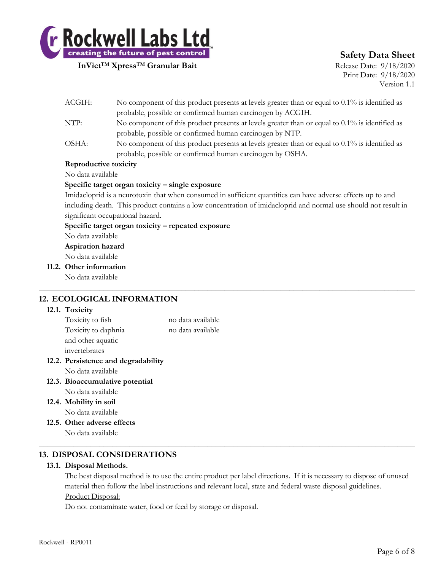

# **Safety Data Sheet**

Print Date: 9/18/2020 Version 1.1

|  | probable, possible or confirmed human carcinogen by ACGIH.                                                                                                                                                                                                                                                              |                                                                                                   |  |  |  |
|--|-------------------------------------------------------------------------------------------------------------------------------------------------------------------------------------------------------------------------------------------------------------------------------------------------------------------------|---------------------------------------------------------------------------------------------------|--|--|--|
|  | No component of this product presents at levels greater than or equal to 0.1% is identified as<br>NTP:                                                                                                                                                                                                                  |                                                                                                   |  |  |  |
|  |                                                                                                                                                                                                                                                                                                                         | probable, possible or confirmed human carcinogen by NTP.                                          |  |  |  |
|  | OSHA:                                                                                                                                                                                                                                                                                                                   | No component of this product presents at levels greater than or equal to $0.1\%$ is identified as |  |  |  |
|  |                                                                                                                                                                                                                                                                                                                         | probable, possible or confirmed human carcinogen by OSHA.                                         |  |  |  |
|  | Reproductive toxicity                                                                                                                                                                                                                                                                                                   |                                                                                                   |  |  |  |
|  | No data available                                                                                                                                                                                                                                                                                                       |                                                                                                   |  |  |  |
|  | Specific target organ toxicity – single exposure                                                                                                                                                                                                                                                                        |                                                                                                   |  |  |  |
|  | Imidacloprid is a neurotoxin that when consumed in sufficient quantities can have adverse effects up to and<br>including death. This product contains a low concentration of imidacloprid and normal use should not result in<br>significant occupational hazard.<br>Specific target organ toxicity – repeated exposure |                                                                                                   |  |  |  |
|  |                                                                                                                                                                                                                                                                                                                         |                                                                                                   |  |  |  |
|  |                                                                                                                                                                                                                                                                                                                         |                                                                                                   |  |  |  |
|  |                                                                                                                                                                                                                                                                                                                         |                                                                                                   |  |  |  |
|  | No data available                                                                                                                                                                                                                                                                                                       |                                                                                                   |  |  |  |
|  | Aspiration hazard                                                                                                                                                                                                                                                                                                       |                                                                                                   |  |  |  |
|  | No data available                                                                                                                                                                                                                                                                                                       |                                                                                                   |  |  |  |
|  | 11.2. Other information                                                                                                                                                                                                                                                                                                 |                                                                                                   |  |  |  |
|  | No data available                                                                                                                                                                                                                                                                                                       |                                                                                                   |  |  |  |
|  |                                                                                                                                                                                                                                                                                                                         |                                                                                                   |  |  |  |

ACGIH: No component of this product presents at levels greater than or equal to 0.1% is identified as

# **12. ECOLOGICAL INFORMATION**

#### **12.1. Toxicity**

| Toxicity to fish              | no data available |
|-------------------------------|-------------------|
| Toxicity to daphnia           | no data available |
| and other aquatic             |                   |
| invertebrates                 |                   |
| Dominion as and doomadability |                   |

- **12.2. Persistence and degradability** No data available
- **12.3. Bioaccumulative potential**
	- No data available
- **12.4. Mobility in soil** No data available
- **12.5. Other adverse effects** No data available

# **13. DISPOSAL CONSIDERATIONS**

#### **13.1. Disposal Methods.**

The best disposal method is to use the entire product per label directions. If it is necessary to dispose of unused material then follow the label instructions and relevant local, state and federal waste disposal guidelines. Product Disposal:

 $\_$  , and the set of the set of the set of the set of the set of the set of the set of the set of the set of the set of the set of the set of the set of the set of the set of the set of the set of the set of the set of th

Do not contaminate water, food or feed by storage or disposal.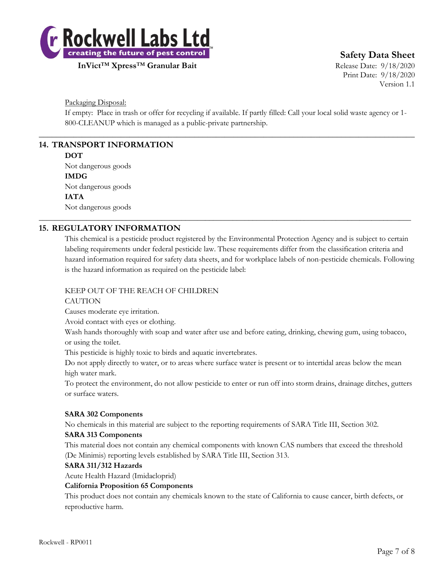

**Safety Data Sheet**

Print Date: 9/18/2020 Version 1.1

Packaging Disposal:

If empty: Place in trash or offer for recycling if available. If partly filled: Call your local solid waste agency or 1- 800-CLEANUP which is managed as a public-private partnership.

 $\_$  , and the set of the set of the set of the set of the set of the set of the set of the set of the set of the set of the set of the set of the set of the set of the set of the set of the set of the set of the set of th

\_\_\_\_\_\_\_\_\_\_\_\_\_\_\_\_\_\_\_\_\_\_\_\_\_\_\_\_\_\_\_\_\_\_\_\_\_\_\_\_\_\_\_\_\_\_\_\_\_\_\_\_\_\_\_\_\_\_\_\_\_\_\_\_\_\_\_\_\_\_\_\_\_\_\_\_\_\_\_\_\_\_\_\_\_\_\_\_\_\_\_\_\_\_

# **14. TRANSPORT INFORMATION**

#### **DOT**

Not dangerous goods **IMDG** Not dangerous goods **IATA** Not dangerous goods

# **15. REGULATORY INFORMATION**

This chemical is a pesticide product registered by the Environmental Protection Agency and is subject to certain labeling requirements under federal pesticide law. These requirements differ from the classification criteria and hazard information required for safety data sheets, and for workplace labels of non-pesticide chemicals. Following is the hazard information as required on the pesticide label:

# KEEP OUT OF THE REACH OF CHILDREN

#### **CAUTION**

Causes moderate eye irritation.

Avoid contact with eyes or clothing.

Wash hands thoroughly with soap and water after use and before eating, drinking, chewing gum, using tobacco, or using the toilet.

This pesticide is highly toxic to birds and aquatic invertebrates.

Do not apply directly to water, or to areas where surface water is present or to intertidal areas below the mean high water mark.

To protect the environment, do not allow pesticide to enter or run off into storm drains, drainage ditches, gutters or surface waters.

#### **SARA 302 Components**

No chemicals in this material are subject to the reporting requirements of SARA Title III, Section 302.

#### **SARA 313 Components**

This material does not contain any chemical components with known CAS numbers that exceed the threshold (De Minimis) reporting levels established by SARA Title III, Section 313.

#### **SARA 311/312 Hazards**

Acute Health Hazard (Imidacloprid)

#### **California Proposition 65 Components**

This product does not contain any chemicals known to the state of California to cause cancer, birth defects, or reproductive harm.